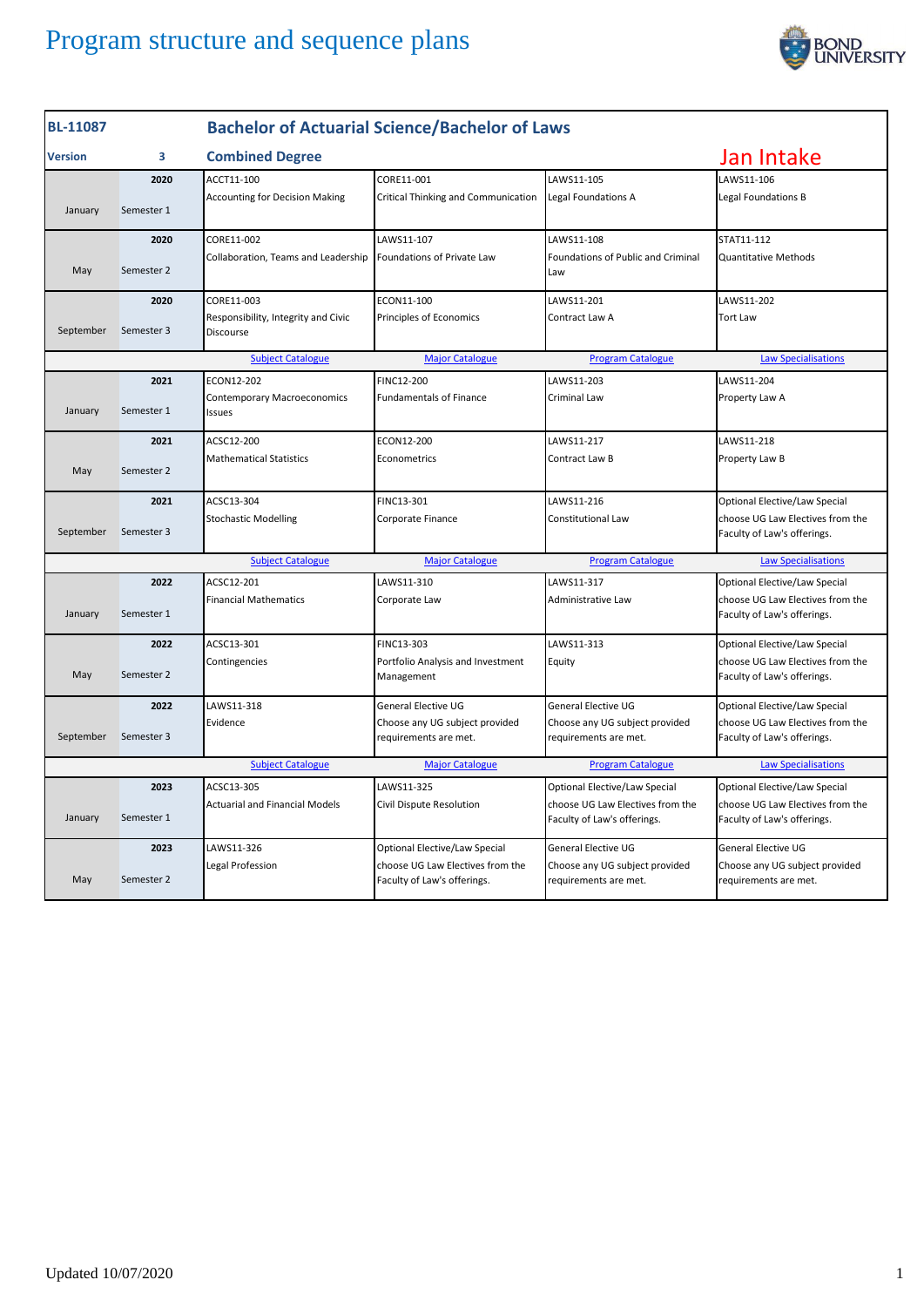

| <b>Bachelor of Actuarial Science/Bachelor of Laws</b><br><b>BL-11087</b>                                     |            |                                                     |                                                                 |                                                                 |                                                                 |
|--------------------------------------------------------------------------------------------------------------|------------|-----------------------------------------------------|-----------------------------------------------------------------|-----------------------------------------------------------------|-----------------------------------------------------------------|
| <b>Version</b>                                                                                               | 3          | <b>Combined Degree</b>                              |                                                                 | Jan Intake                                                      |                                                                 |
|                                                                                                              | 2020       | ACCT11-100                                          | CORE11-001                                                      | LAWS11-105                                                      | LAWS11-106                                                      |
| January                                                                                                      | Semester 1 | <b>Accounting for Decision Making</b>               | Critical Thinking and Communication                             | Legal Foundations A                                             | Legal Foundations B                                             |
|                                                                                                              | 2020       | CORE11-002                                          | LAWS11-107                                                      | LAWS11-108                                                      | STAT11-112                                                      |
| May                                                                                                          | Semester 2 | Collaboration, Teams and Leadership                 | Foundations of Private Law                                      | Foundations of Public and Criminal<br>Law                       | <b>Quantitative Methods</b>                                     |
|                                                                                                              | 2020       | CORE11-003                                          | ECON11-100                                                      | LAWS11-201                                                      | LAWS11-202                                                      |
| September                                                                                                    | Semester 3 | Responsibility, Integrity and Civic<br>Discourse    | Principles of Economics                                         | Contract Law A                                                  | <b>Tort Law</b>                                                 |
| <b>Subject Catalogue</b><br><b>Major Catalogue</b>                                                           |            |                                                     |                                                                 | <b>Program Catalogue</b>                                        | <b>Law Specialisations</b>                                      |
|                                                                                                              | 2021       | ECON12-202                                          | FINC12-200                                                      | LAWS11-203                                                      | LAWS11-204                                                      |
| January                                                                                                      | Semester 1 | <b>Contemporary Macroeconomics</b><br><b>Issues</b> | <b>Fundamentals of Finance</b>                                  | Criminal Law                                                    | Property Law A                                                  |
|                                                                                                              | 2021       | ACSC12-200                                          | ECON12-200                                                      | LAWS11-217                                                      | LAWS11-218                                                      |
| May                                                                                                          | Semester 2 | <b>Mathematical Statistics</b>                      | Econometrics                                                    | Contract Law B                                                  | Property Law B                                                  |
|                                                                                                              | 2021       | ACSC13-304                                          | FINC13-301                                                      | LAWS11-216                                                      | Optional Elective/Law Special                                   |
| September                                                                                                    | Semester 3 | <b>Stochastic Modelling</b>                         | Corporate Finance                                               | Constitutional Law                                              | choose UG Law Electives from the<br>Faculty of Law's offerings. |
|                                                                                                              |            | <b>Subject Catalogue</b>                            | <b>Major Catalogue</b>                                          | <b>Program Catalogue</b>                                        | <b>Law Specialisations</b>                                      |
|                                                                                                              | 2022       | ACSC12-201                                          | LAWS11-310                                                      | LAWS11-317                                                      | Optional Elective/Law Special                                   |
| January                                                                                                      | Semester 1 | <b>Financial Mathematics</b>                        | Corporate Law                                                   | Administrative Law                                              | choose UG Law Electives from the<br>Faculty of Law's offerings. |
|                                                                                                              | 2022       | ACSC13-301                                          | FINC13-303                                                      | LAWS11-313                                                      | Optional Elective/Law Special                                   |
| May                                                                                                          | Semester 2 | Contingencies                                       | Portfolio Analysis and Investment<br>Management                 | Equity                                                          | choose UG Law Electives from the<br>Faculty of Law's offerings. |
|                                                                                                              | 2022       | LAWS11-318                                          | General Elective UG                                             | General Elective UG                                             | Optional Elective/Law Special                                   |
| September                                                                                                    | Semester 3 | Evidence                                            | Choose any UG subject provided<br>requirements are met.         | Choose any UG subject provided<br>requirements are met.         | choose UG Law Electives from the<br>Faculty of Law's offerings. |
| <b>Subject Catalogue</b><br><b>Major Catalogue</b><br><b>Program Catalogue</b><br><b>Law Specialisations</b> |            |                                                     |                                                                 |                                                                 |                                                                 |
|                                                                                                              | 2023       | ACSC13-305                                          | LAWS11-325                                                      | Optional Elective/Law Special                                   | Optional Elective/Law Special                                   |
| January                                                                                                      | Semester 1 | <b>Actuarial and Financial Models</b>               | Civil Dispute Resolution                                        | choose UG Law Electives from the<br>Faculty of Law's offerings. | choose UG Law Electives from the<br>Faculty of Law's offerings. |
|                                                                                                              | 2023       | LAWS11-326                                          | Optional Elective/Law Special                                   | General Elective UG                                             | <b>General Elective UG</b>                                      |
| May                                                                                                          | Semester 2 | Legal Profession                                    | choose UG Law Electives from the<br>Faculty of Law's offerings. | Choose any UG subject provided<br>requirements are met.         | Choose any UG subject provided<br>requirements are met.         |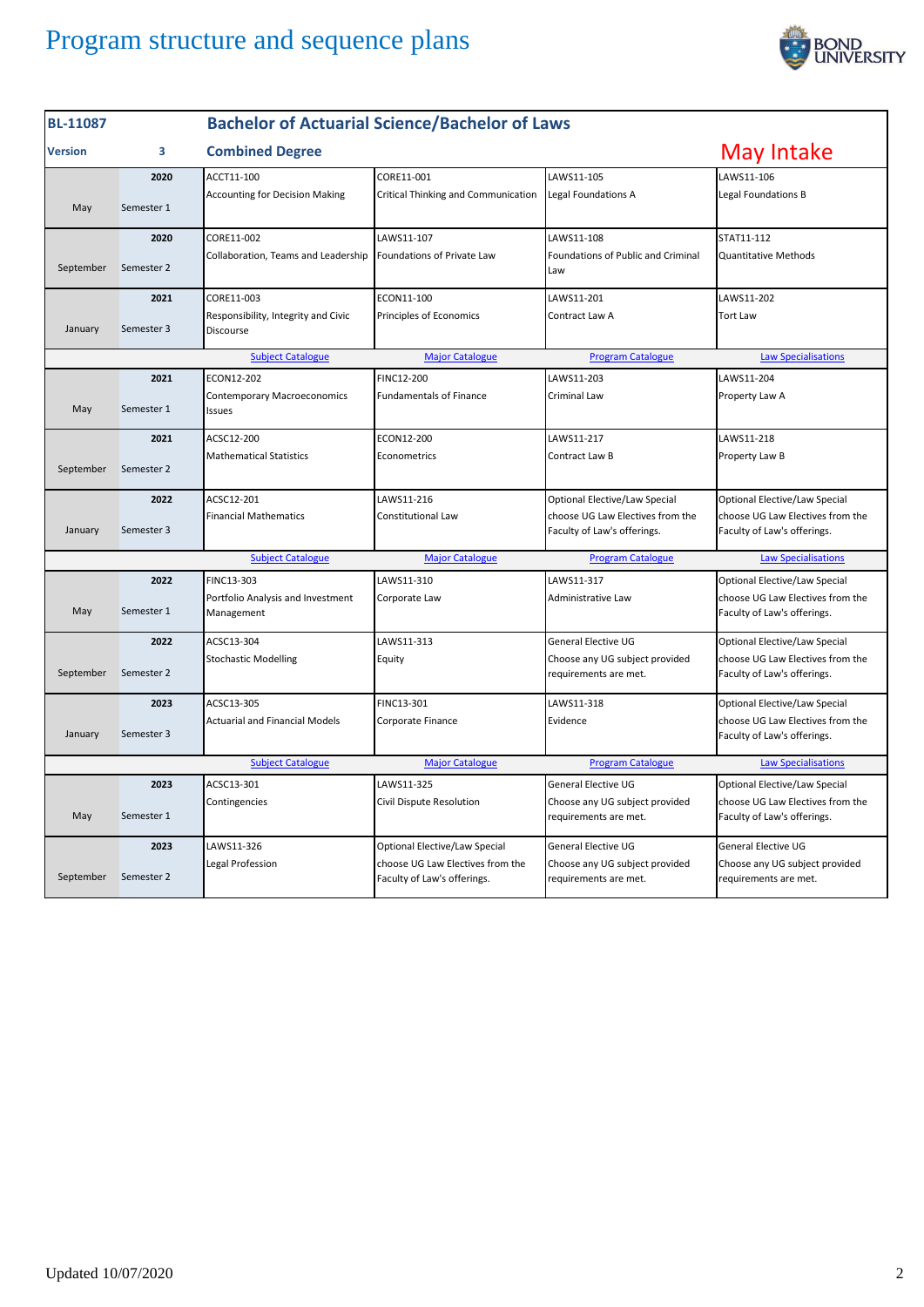

| <b>BL-11087</b>                                                                                              |            | <b>Bachelor of Actuarial Science/Bachelor of Laws</b> |                                                                 |                                                                 |                                                                 |
|--------------------------------------------------------------------------------------------------------------|------------|-------------------------------------------------------|-----------------------------------------------------------------|-----------------------------------------------------------------|-----------------------------------------------------------------|
| <b>Version</b>                                                                                               | 3          | <b>Combined Degree</b>                                |                                                                 |                                                                 | May Intake                                                      |
|                                                                                                              | 2020       | ACCT11-100                                            | CORE11-001                                                      | LAWS11-105                                                      | LAWS11-106                                                      |
| May                                                                                                          | Semester 1 | <b>Accounting for Decision Making</b>                 | Critical Thinking and Communication                             | Legal Foundations A                                             | Legal Foundations B                                             |
|                                                                                                              | 2020       | CORE11-002                                            | LAWS11-107                                                      | LAWS11-108                                                      | STAT11-112                                                      |
| September                                                                                                    | Semester 2 | Collaboration, Teams and Leadership                   | Foundations of Private Law                                      | Foundations of Public and Criminal<br>Law                       | <b>Quantitative Methods</b>                                     |
|                                                                                                              | 2021       | CORE11-003                                            | ECON11-100                                                      | LAWS11-201                                                      | LAWS11-202                                                      |
| January                                                                                                      | Semester 3 | Responsibility, Integrity and Civic<br>Discourse      | Principles of Economics                                         | Contract Law A                                                  | <b>Tort Law</b>                                                 |
| <b>Subject Catalogue</b>                                                                                     |            |                                                       | <b>Major Catalogue</b>                                          | <b>Program Catalogue</b>                                        | <b>Law Specialisations</b>                                      |
|                                                                                                              | 2021       | ECON12-202                                            | FINC12-200                                                      | LAWS11-203                                                      | LAWS11-204                                                      |
| May                                                                                                          | Semester 1 | Contemporary Macroeconomics<br>Issues                 | <b>Fundamentals of Finance</b>                                  | Criminal Law                                                    | Property Law A                                                  |
|                                                                                                              | 2021       | ACSC12-200                                            | ECON12-200                                                      | LAWS11-217                                                      | LAWS11-218                                                      |
| September                                                                                                    | Semester 2 | <b>Mathematical Statistics</b>                        | Econometrics                                                    | Contract Law B                                                  | Property Law B                                                  |
|                                                                                                              | 2022       | ACSC12-201                                            | LAWS11-216                                                      | Optional Elective/Law Special                                   | Optional Elective/Law Special                                   |
| January                                                                                                      | Semester 3 | <b>Financial Mathematics</b>                          | Constitutional Law                                              | choose UG Law Electives from the<br>Faculty of Law's offerings. | choose UG Law Electives from the<br>Faculty of Law's offerings. |
| <b>Subject Catalogue</b>                                                                                     |            |                                                       | <b>Major Catalogue</b>                                          | <b>Program Catalogue</b>                                        | <b>Law Specialisations</b>                                      |
|                                                                                                              | 2022       | FINC13-303                                            | LAWS11-310                                                      | LAWS11-317                                                      | Optional Elective/Law Special                                   |
| May                                                                                                          | Semester 1 | Portfolio Analysis and Investment<br>Management       | Corporate Law                                                   | Administrative Law                                              | choose UG Law Electives from the<br>Faculty of Law's offerings. |
|                                                                                                              | 2022       | ACSC13-304                                            | LAWS11-313                                                      | <b>General Elective UG</b>                                      | Optional Elective/Law Special                                   |
| September                                                                                                    | Semester 2 | <b>Stochastic Modelling</b>                           | Equity                                                          | Choose any UG subject provided<br>requirements are met.         | choose UG Law Electives from the<br>Faculty of Law's offerings. |
|                                                                                                              | 2023       | ACSC13-305                                            | FINC13-301                                                      | LAWS11-318                                                      | Optional Elective/Law Special                                   |
| January                                                                                                      | Semester 3 | <b>Actuarial and Financial Models</b>                 | Corporate Finance                                               | Evidence                                                        | choose UG Law Electives from the<br>Faculty of Law's offerings. |
| <b>Program Catalogue</b><br><b>Subject Catalogue</b><br><b>Major Catalogue</b><br><b>Law Specialisations</b> |            |                                                       |                                                                 |                                                                 |                                                                 |
|                                                                                                              | 2023       | ACSC13-301                                            | LAWS11-325                                                      | <b>General Elective UG</b>                                      | Optional Elective/Law Special                                   |
| May                                                                                                          | Semester 1 | Contingencies                                         | Civil Dispute Resolution                                        | Choose any UG subject provided<br>requirements are met.         | choose UG Law Electives from the<br>Faculty of Law's offerings. |
|                                                                                                              | 2023       | LAWS11-326                                            | Optional Elective/Law Special                                   | <b>General Elective UG</b>                                      | General Elective UG                                             |
| September                                                                                                    | Semester 2 | Legal Profession                                      | choose UG Law Electives from the<br>Faculty of Law's offerings. | Choose any UG subject provided<br>requirements are met.         | Choose any UG subject provided<br>requirements are met.         |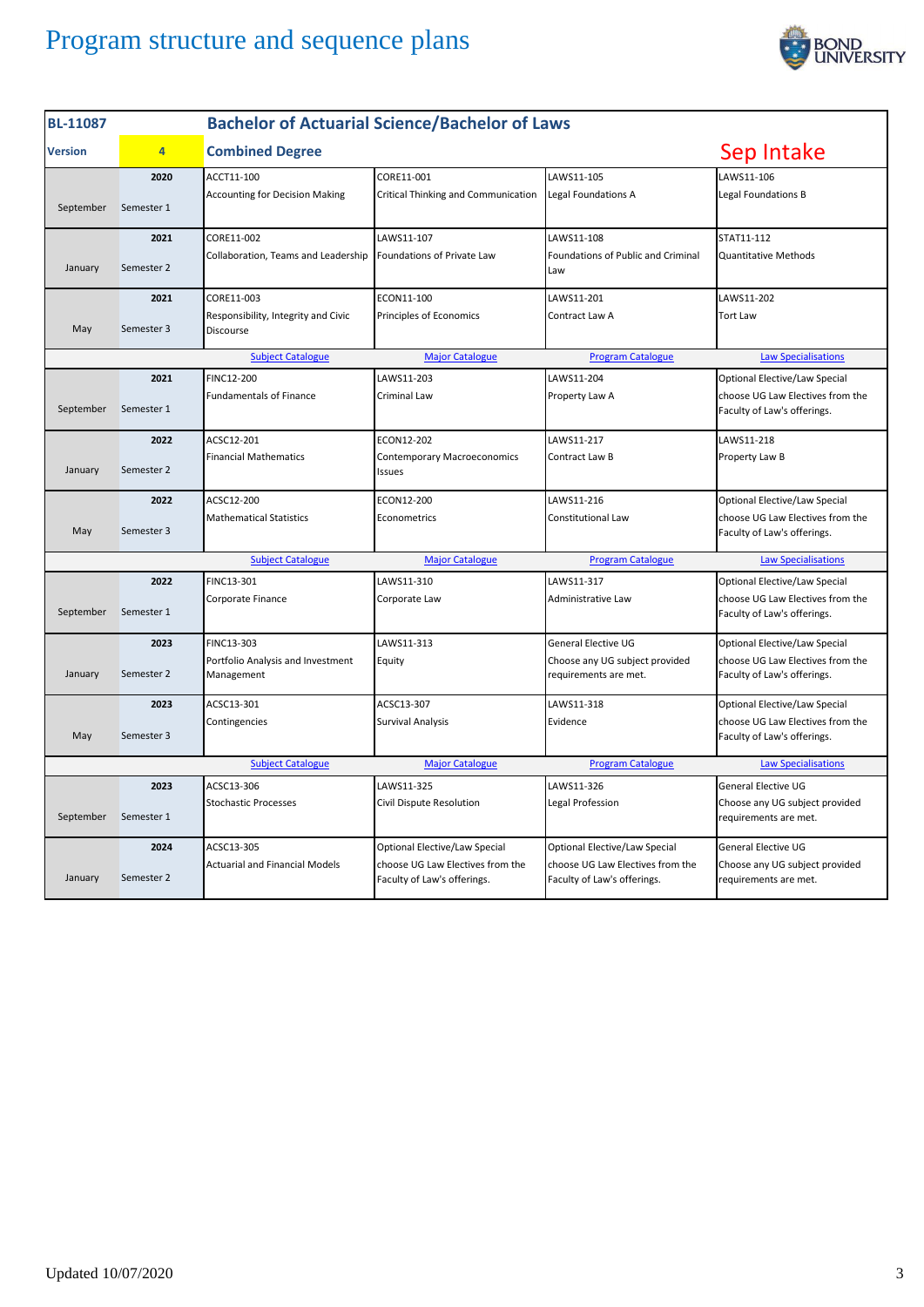

| <b>Bachelor of Actuarial Science/Bachelor of Laws</b><br><b>BL-11087</b>       |                |                                                  |                                                                 |                                                                 |                                                                 |
|--------------------------------------------------------------------------------|----------------|--------------------------------------------------|-----------------------------------------------------------------|-----------------------------------------------------------------|-----------------------------------------------------------------|
| <b>Version</b>                                                                 | $\overline{4}$ | <b>Combined Degree</b>                           |                                                                 |                                                                 | Sep Intake                                                      |
|                                                                                | 2020           | ACCT11-100                                       | CORE11-001                                                      | LAWS11-105                                                      | LAWS11-106                                                      |
| September                                                                      | Semester 1     | <b>Accounting for Decision Making</b>            | Critical Thinking and Communication                             | Legal Foundations A                                             | Legal Foundations B                                             |
|                                                                                | 2021           | CORE11-002                                       | LAWS11-107                                                      | LAWS11-108                                                      | STAT11-112                                                      |
| January                                                                        | Semester 2     | Collaboration, Teams and Leadership              | Foundations of Private Law                                      | Foundations of Public and Criminal<br>Law                       | <b>Quantitative Methods</b>                                     |
|                                                                                | 2021           | CORE11-003                                       | ECON11-100                                                      | LAWS11-201                                                      | LAWS11-202                                                      |
| May                                                                            | Semester 3     | Responsibility, Integrity and Civic<br>Discourse | Principles of Economics                                         | Contract Law A                                                  | <b>Tort Law</b>                                                 |
|                                                                                |                | <b>Subject Catalogue</b>                         | <b>Major Catalogue</b>                                          | <b>Program Catalogue</b>                                        | <b>Law Specialisations</b>                                      |
|                                                                                | 2021           | FINC12-200                                       | LAWS11-203                                                      | LAWS11-204                                                      | Optional Elective/Law Special                                   |
| September                                                                      | Semester 1     | <b>Fundamentals of Finance</b>                   | Criminal Law                                                    | Property Law A                                                  | choose UG Law Electives from the<br>Faculty of Law's offerings. |
|                                                                                | 2022           | ACSC12-201                                       | ECON12-202                                                      | LAWS11-217                                                      | LAWS11-218                                                      |
| January                                                                        | Semester 2     | <b>Financial Mathematics</b>                     | Contemporary Macroeconomics<br>Issues                           | Contract Law B                                                  | Property Law B                                                  |
|                                                                                | 2022           | ACSC12-200                                       | ECON12-200                                                      | LAWS11-216                                                      | Optional Elective/Law Special                                   |
| May                                                                            | Semester 3     | <b>Mathematical Statistics</b>                   | Econometrics                                                    | Constitutional Law                                              | choose UG Law Electives from the<br>Faculty of Law's offerings. |
|                                                                                |                | <b>Subject Catalogue</b>                         | <b>Major Catalogue</b>                                          | <b>Program Catalogue</b>                                        | <b>Law Specialisations</b>                                      |
|                                                                                | 2022           | FINC13-301                                       | LAWS11-310                                                      | LAWS11-317                                                      | Optional Elective/Law Special                                   |
| September                                                                      | Semester 1     | Corporate Finance                                | Corporate Law                                                   | Administrative Law                                              | choose UG Law Electives from the<br>Faculty of Law's offerings. |
|                                                                                | 2023           | FINC13-303                                       | LAWS11-313                                                      | General Elective UG                                             | Optional Elective/Law Special                                   |
| January                                                                        | Semester 2     | Portfolio Analysis and Investment<br>Management  | Equity                                                          | Choose any UG subject provided<br>requirements are met.         | choose UG Law Electives from the<br>Faculty of Law's offerings. |
|                                                                                | 2023           | ACSC13-301                                       | ACSC13-307                                                      | LAWS11-318                                                      | Optional Elective/Law Special                                   |
| May                                                                            | Semester 3     | Contingencies                                    | <b>Survival Analysis</b>                                        | Evidence                                                        | choose UG Law Electives from the<br>Faculty of Law's offerings. |
| <b>Subject Catalogue</b><br><b>Major Catalogue</b><br><b>Program Catalogue</b> |                |                                                  |                                                                 |                                                                 | <b>Law Specialisations</b>                                      |
|                                                                                | 2023           | ACSC13-306                                       | LAWS11-325                                                      | LAWS11-326                                                      | <b>General Elective UG</b>                                      |
| September                                                                      | Semester 1     | <b>Stochastic Processes</b>                      | Civil Dispute Resolution                                        | Legal Profession                                                | Choose any UG subject provided<br>requirements are met.         |
|                                                                                | 2024           | ACSC13-305                                       | Optional Elective/Law Special                                   | Optional Elective/Law Special                                   | General Elective UG                                             |
| January                                                                        | Semester 2     | <b>Actuarial and Financial Models</b>            | choose UG Law Electives from the<br>Faculty of Law's offerings. | choose UG Law Electives from the<br>Faculty of Law's offerings. | Choose any UG subject provided<br>requirements are met.         |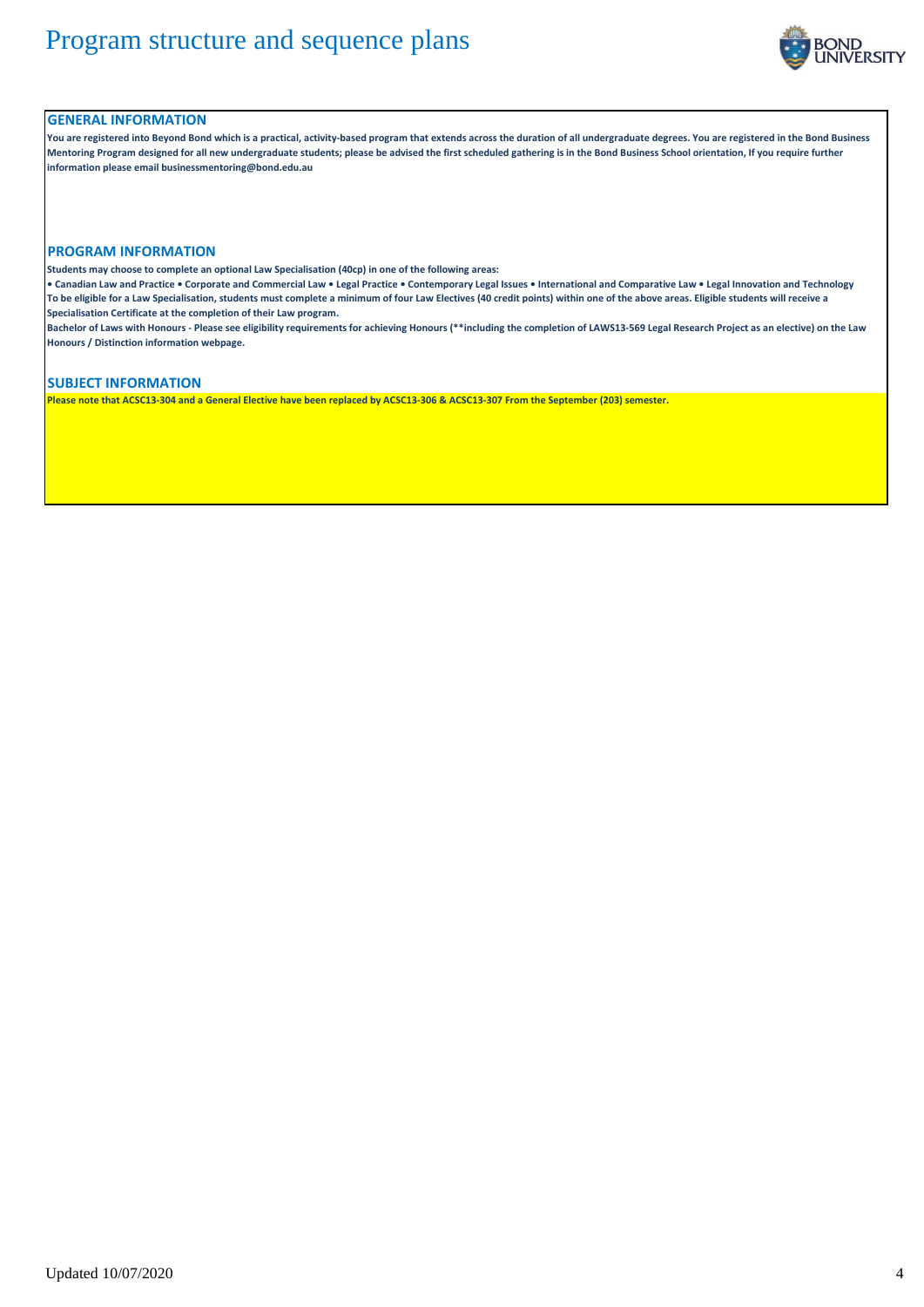

### **GENERAL INFORMATION**

**You are registered into Beyond Bond which is a practical, activity-based program that extends across the duration of all undergraduate degrees. You are registered in the Bond Business Mentoring Program designed for all new undergraduate students; please be advised the first scheduled gathering is in the Bond Business School orientation, If you require further information please email businessmentoring@bond.edu.au**

#### **PROGRAM INFORMATION**

**Students may choose to complete an optional Law Specialisation (40cp) in one of the following areas:**

**• Canadian Law and Practice • Corporate and Commercial Law • Legal Practice • Contemporary Legal Issues • International and Comparative Law • Legal Innovation and Technology To be eligible for a Law Specialisation, students must complete a minimum of four Law Electives (40 credit points) within one of the above areas. Eligible students will receive a Specialisation Certificate at the completion of their Law program.**

**Bachelor of Laws with Honours - Please see eligibility requirements for achieving Honours (\*\*including the completion of LAWS13-569 Legal Research Project as an elective) on the Law Honours / Distinction information webpage.**

#### **SUBJECT INFORMATION**

**Please note that ACSC13-304 and a General Elective have been replaced by ACSC13-306 & ACSC13-307 From the September (203) semester.**